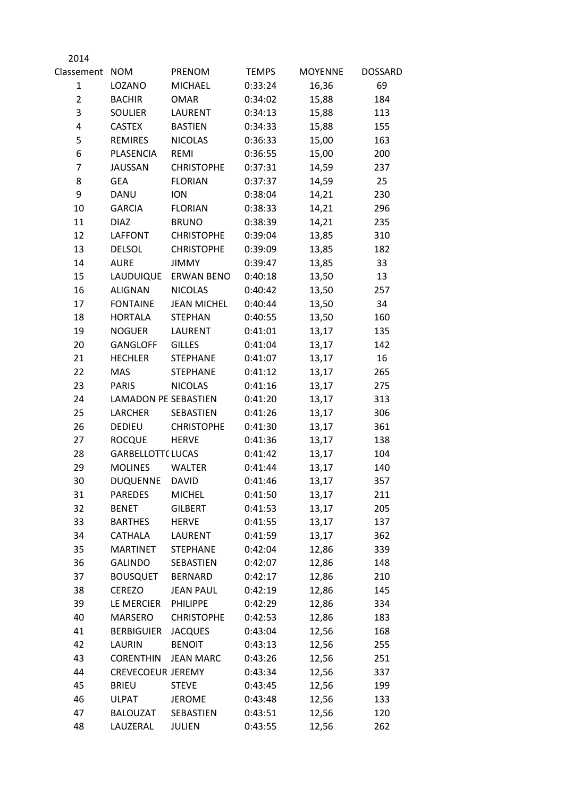| 2014           |                             |                    |              |                |                |
|----------------|-----------------------------|--------------------|--------------|----------------|----------------|
| Classement NOM |                             | PRENOM             | <b>TEMPS</b> | <b>MOYENNE</b> | <b>DOSSARD</b> |
| 1              | LOZANO                      | <b>MICHAEL</b>     | 0:33:24      | 16,36          | 69             |
| $\overline{2}$ | <b>BACHIR</b>               | <b>OMAR</b>        | 0:34:02      | 15,88          | 184            |
| 3              | <b>SOULIER</b>              | LAURENT            | 0:34:13      | 15,88          | 113            |
| 4              | <b>CASTEX</b>               | <b>BASTIEN</b>     | 0:34:33      | 15,88          | 155            |
| 5              | <b>REMIRES</b>              | <b>NICOLAS</b>     | 0:36:33      | 15,00          | 163            |
| 6              | PLASENCIA                   | <b>REMI</b>        | 0:36:55      | 15,00          | 200            |
| 7              | <b>JAUSSAN</b>              | <b>CHRISTOPHE</b>  | 0:37:31      | 14,59          | 237            |
| 8              | <b>GEA</b>                  | <b>FLORIAN</b>     | 0:37:37      | 14,59          | 25             |
| 9              | DANU                        | <b>ION</b>         | 0:38:04      | 14,21          | 230            |
| 10             | <b>GARCIA</b>               | <b>FLORIAN</b>     | 0:38:33      | 14,21          | 296            |
| 11             | <b>DIAZ</b>                 | <b>BRUNO</b>       | 0:38:39      | 14,21          | 235            |
| 12             | LAFFONT                     | <b>CHRISTOPHE</b>  | 0:39:04      | 13,85          | 310            |
| 13             | <b>DELSOL</b>               | <b>CHRISTOPHE</b>  | 0:39:09      | 13,85          | 182            |
| 14             | <b>AURE</b>                 | <b>JIMMY</b>       | 0:39:47      | 13,85          | 33             |
| 15             | LAUDUIQUE                   | <b>ERWAN BENO</b>  | 0:40:18      | 13,50          | 13             |
| 16             | <b>ALIGNAN</b>              | <b>NICOLAS</b>     | 0:40:42      | 13,50          | 257            |
| 17             | <b>FONTAINE</b>             | <b>JEAN MICHEL</b> | 0:40:44      | 13,50          | 34             |
| 18             | <b>HORTALA</b>              | <b>STEPHAN</b>     | 0:40:55      | 13,50          | 160            |
| 19             | <b>NOGUER</b>               | LAURENT            | 0:41:01      | 13,17          | 135            |
| 20             | <b>GANGLOFF</b>             | <b>GILLES</b>      | 0:41:04      | 13,17          | 142            |
| 21             | <b>HECHLER</b>              | <b>STEPHANE</b>    | 0:41:07      | 13,17          | 16             |
| 22             | <b>MAS</b>                  | <b>STEPHANE</b>    | 0:41:12      | 13,17          | 265            |
| 23             | <b>PARIS</b>                | <b>NICOLAS</b>     | 0:41:16      | 13,17          | 275            |
| 24             | <b>LAMADON PE SEBASTIEN</b> |                    | 0:41:20      | 13,17          | 313            |
| 25             | <b>LARCHER</b>              | SEBASTIEN          | 0:41:26      | 13,17          | 306            |
| 26             | DEDIEU                      | <b>CHRISTOPHE</b>  | 0:41:30      | 13,17          | 361            |
| 27             | <b>ROCQUE</b>               | <b>HERVE</b>       | 0:41:36      | 13,17          | 138            |
| 28             | <b>GARBELLOTT( LUCAS</b>    |                    | 0:41:42      | 13,17          | 104            |
| 29             | <b>MOLINES</b>              | <b>WALTER</b>      | 0:41:44      | 13,17          | 140            |
| 30             | <b>DUQUENNE</b>             | <b>DAVID</b>       | 0:41:46      | 13,17          | 357            |
| 31             | <b>PAREDES</b>              | <b>MICHEL</b>      | 0:41:50      | 13,17          | 211            |
| 32             | <b>BENET</b>                | <b>GILBERT</b>     | 0:41:53      | 13,17          | 205            |
| 33             | <b>BARTHES</b>              | <b>HERVE</b>       | 0:41:55      | 13,17          | 137            |
| 34             | CATHALA                     | LAURENT            | 0:41:59      | 13,17          | 362            |
| 35             | <b>MARTINET</b>             | <b>STEPHANE</b>    | 0:42:04      | 12,86          | 339            |
| 36             | <b>GALINDO</b>              | SEBASTIEN          | 0:42:07      | 12,86          | 148            |
| 37             | <b>BOUSQUET</b>             | <b>BERNARD</b>     | 0:42:17      | 12,86          | 210            |
| 38             | <b>CEREZO</b>               | <b>JEAN PAUL</b>   | 0:42:19      | 12,86          | 145            |
| 39             | LE MERCIER                  | PHILIPPE           | 0:42:29      | 12,86          | 334            |
| 40             | <b>MARSERO</b>              | <b>CHRISTOPHE</b>  | 0:42:53      | 12,86          | 183            |
| 41             | <b>BERBIGUIER</b>           | <b>JACQUES</b>     | 0:43:04      | 12,56          | 168            |
| 42             | LAURIN                      | <b>BENOIT</b>      | 0:43:13      | 12,56          | 255            |
| 43             | <b>CORENTHIN</b>            | <b>JEAN MARC</b>   | 0:43:26      | 12,56          | 251            |
| 44             | <b>CREVECOEUR JEREMY</b>    |                    | 0:43:34      | 12,56          | 337            |
| 45             | <b>BRIEU</b>                | <b>STEVE</b>       | 0:43:45      | 12,56          | 199            |
| 46             | <b>ULPAT</b>                | <b>JEROME</b>      | 0:43:48      | 12,56          | 133            |
| 47             | BALOUZAT                    | SEBASTIEN          | 0:43:51      | 12,56          | 120            |
| 48             | LAUZERAL                    | JULIEN             | 0:43:55      | 12,56          | 262            |
|                |                             |                    |              |                |                |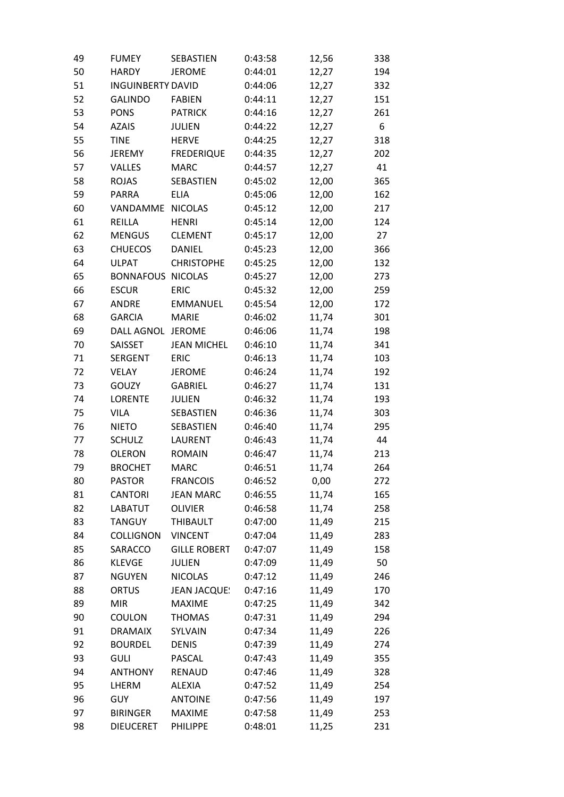| 49 | <b>FUMEY</b>             | SEBASTIEN           | 0:43:58 | 12,56 | 338 |
|----|--------------------------|---------------------|---------|-------|-----|
| 50 | <b>HARDY</b>             | <b>JEROME</b>       | 0:44:01 | 12,27 | 194 |
| 51 | <b>INGUINBERTY DAVID</b> |                     | 0:44:06 | 12,27 | 332 |
| 52 | <b>GALINDO</b>           | <b>FABIEN</b>       | 0:44:11 | 12,27 | 151 |
| 53 | <b>PONS</b>              | <b>PATRICK</b>      | 0:44:16 | 12,27 | 261 |
| 54 | <b>AZAIS</b>             | <b>JULIEN</b>       | 0:44:22 | 12,27 | 6   |
| 55 | <b>TINE</b>              | <b>HERVE</b>        | 0:44:25 | 12,27 | 318 |
| 56 | <b>JEREMY</b>            | <b>FREDERIQUE</b>   | 0:44:35 | 12,27 | 202 |
| 57 | VALLES                   | <b>MARC</b>         | 0:44:57 | 12,27 | 41  |
| 58 | <b>ROJAS</b>             | SEBASTIEN           | 0:45:02 | 12,00 | 365 |
| 59 | <b>PARRA</b>             | <b>ELIA</b>         | 0:45:06 | 12,00 | 162 |
| 60 | VANDAMME                 | <b>NICOLAS</b>      | 0:45:12 | 12,00 | 217 |
| 61 | REILLA                   | <b>HENRI</b>        | 0:45:14 | 12,00 | 124 |
| 62 | <b>MENGUS</b>            | <b>CLEMENT</b>      | 0:45:17 | 12,00 | 27  |
| 63 | <b>CHUECOS</b>           | <b>DANIEL</b>       | 0:45:23 | 12,00 | 366 |
| 64 | <b>ULPAT</b>             | <b>CHRISTOPHE</b>   | 0:45:25 | 12,00 | 132 |
| 65 | <b>BONNAFOUS NICOLAS</b> |                     | 0:45:27 | 12,00 | 273 |
| 66 | <b>ESCUR</b>             | <b>ERIC</b>         | 0:45:32 | 12,00 | 259 |
| 67 | <b>ANDRE</b>             | <b>EMMANUEL</b>     | 0:45:54 | 12,00 | 172 |
| 68 | <b>GARCIA</b>            | <b>MARIE</b>        | 0:46:02 | 11,74 | 301 |
| 69 | DALL AGNOL JEROME        |                     | 0:46:06 | 11,74 | 198 |
| 70 | SAISSET                  | <b>JEAN MICHEL</b>  | 0:46:10 | 11,74 | 341 |
| 71 | <b>SERGENT</b>           | <b>ERIC</b>         | 0:46:13 | 11,74 | 103 |
| 72 | VELAY                    | <b>JEROME</b>       | 0:46:24 | 11,74 | 192 |
| 73 | GOUZY                    | <b>GABRIEL</b>      | 0:46:27 | 11,74 | 131 |
| 74 | <b>LORENTE</b>           | <b>JULIEN</b>       | 0:46:32 | 11,74 | 193 |
| 75 | <b>VILA</b>              | SEBASTIEN           | 0:46:36 | 11,74 | 303 |
| 76 | <b>NIETO</b>             | SEBASTIEN           | 0:46:40 | 11,74 | 295 |
| 77 | <b>SCHULZ</b>            | LAURENT             | 0:46:43 | 11,74 | 44  |
| 78 | <b>OLERON</b>            | <b>ROMAIN</b>       | 0:46:47 | 11,74 | 213 |
| 79 | <b>BROCHET</b>           | <b>MARC</b>         | 0:46:51 | 11,74 | 264 |
| 80 | <b>PASTOR</b>            | <b>FRANCOIS</b>     | 0:46:52 | 0,00  | 272 |
| 81 | <b>CANTORI</b>           | <b>JEAN MARC</b>    | 0:46:55 | 11,74 | 165 |
| 82 | LABATUT                  | <b>OLIVIER</b>      | 0:46:58 | 11,74 | 258 |
| 83 | <b>TANGUY</b>            | THIBAULT            | 0:47:00 | 11,49 | 215 |
| 84 | <b>COLLIGNON</b>         | <b>VINCENT</b>      | 0:47:04 | 11,49 | 283 |
| 85 | SARACCO                  | <b>GILLE ROBERT</b> | 0:47:07 | 11,49 | 158 |
| 86 | <b>KLEVGE</b>            | JULIEN              | 0:47:09 | 11,49 | 50  |
| 87 | <b>NGUYEN</b>            | <b>NICOLAS</b>      | 0:47:12 | 11,49 | 246 |
| 88 | <b>ORTUS</b>             | <b>JEAN JACQUE!</b> | 0:47:16 | 11,49 | 170 |
| 89 | <b>MIR</b>               | <b>MAXIME</b>       | 0:47:25 | 11,49 | 342 |
| 90 | COULON                   | <b>THOMAS</b>       | 0:47:31 | 11,49 | 294 |
| 91 | <b>DRAMAIX</b>           | SYLVAIN             | 0:47:34 | 11,49 | 226 |
| 92 | <b>BOURDEL</b>           | <b>DENIS</b>        | 0:47:39 | 11,49 | 274 |
| 93 | <b>GULI</b>              | <b>PASCAL</b>       | 0:47:43 | 11,49 | 355 |
| 94 | <b>ANTHONY</b>           | <b>RENAUD</b>       | 0:47:46 | 11,49 | 328 |
| 95 | LHERM                    | <b>ALEXIA</b>       | 0:47:52 | 11,49 | 254 |
| 96 | <b>GUY</b>               | <b>ANTOINE</b>      | 0:47:56 | 11,49 | 197 |
| 97 | <b>BIRINGER</b>          | <b>MAXIME</b>       | 0:47:58 | 11,49 | 253 |
| 98 | <b>DIEUCERET</b>         | PHILIPPE            | 0:48:01 | 11,25 | 231 |
|    |                          |                     |         |       |     |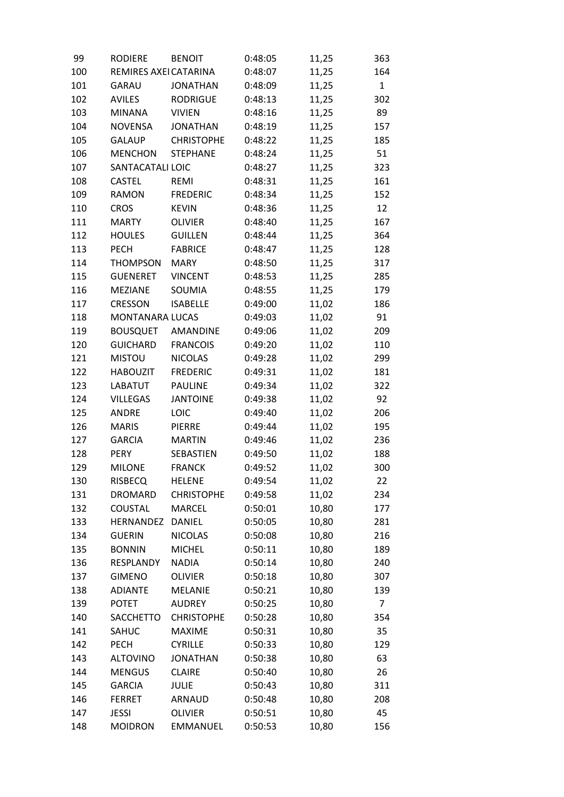| 99  | <b>RODIERE</b>        | <b>BENOIT</b>     | 0:48:05 | 11,25 | 363            |
|-----|-----------------------|-------------------|---------|-------|----------------|
| 100 | REMIRES AXEI CATARINA |                   | 0:48:07 | 11,25 | 164            |
| 101 | GARAU                 | <b>JONATHAN</b>   | 0:48:09 | 11,25 | $\mathbf{1}$   |
| 102 | <b>AVILES</b>         | <b>RODRIGUE</b>   | 0:48:13 | 11,25 | 302            |
| 103 | <b>MINANA</b>         | <b>VIVIEN</b>     | 0:48:16 | 11,25 | 89             |
| 104 | <b>NOVENSA</b>        | <b>JONATHAN</b>   | 0:48:19 | 11,25 | 157            |
| 105 | <b>GALAUP</b>         | <b>CHRISTOPHE</b> | 0:48:22 | 11,25 | 185            |
| 106 | <b>MENCHON</b>        | <b>STEPHANE</b>   | 0:48:24 | 11,25 | 51             |
| 107 | SANTACATALI LOIC      |                   | 0:48:27 | 11,25 | 323            |
| 108 | <b>CASTEL</b>         | REMI              | 0:48:31 | 11,25 | 161            |
| 109 | <b>RAMON</b>          | <b>FREDERIC</b>   | 0:48:34 | 11,25 | 152            |
| 110 | <b>CROS</b>           | <b>KEVIN</b>      | 0:48:36 | 11,25 | 12             |
| 111 | <b>MARTY</b>          | <b>OLIVIER</b>    | 0:48:40 | 11,25 | 167            |
| 112 | <b>HOULES</b>         | <b>GUILLEN</b>    | 0:48:44 | 11,25 | 364            |
| 113 | <b>PECH</b>           | <b>FABRICE</b>    | 0:48:47 | 11,25 | 128            |
| 114 | <b>THOMPSON</b>       | <b>MARY</b>       | 0:48:50 | 11,25 | 317            |
| 115 | <b>GUENERET</b>       | <b>VINCENT</b>    | 0:48:53 | 11,25 | 285            |
| 116 | <b>MEZIANE</b>        | SOUMIA            | 0:48:55 | 11,25 | 179            |
| 117 | <b>CRESSON</b>        | <b>ISABELLE</b>   | 0:49:00 | 11,02 | 186            |
| 118 | MONTANARA LUCAS       |                   | 0:49:03 | 11,02 | 91             |
| 119 | <b>BOUSQUET</b>       | AMANDINE          | 0:49:06 | 11,02 | 209            |
| 120 | <b>GUICHARD</b>       | <b>FRANCOIS</b>   | 0:49:20 | 11,02 | 110            |
| 121 | <b>MISTOU</b>         | <b>NICOLAS</b>    | 0:49:28 | 11,02 | 299            |
| 122 | <b>HABOUZIT</b>       | <b>FREDERIC</b>   | 0:49:31 | 11,02 | 181            |
| 123 | <b>LABATUT</b>        | <b>PAULINE</b>    | 0:49:34 | 11,02 | 322            |
| 124 | <b>VILLEGAS</b>       | <b>JANTOINE</b>   | 0:49:38 | 11,02 | 92             |
| 125 | <b>ANDRE</b>          | LOIC              | 0:49:40 | 11,02 | 206            |
| 126 | <b>MARIS</b>          | <b>PIERRE</b>     | 0:49:44 | 11,02 | 195            |
| 127 | <b>GARCIA</b>         | <b>MARTIN</b>     | 0:49:46 | 11,02 | 236            |
| 128 | <b>PERY</b>           | SEBASTIEN         | 0:49:50 | 11,02 | 188            |
| 129 | <b>MILONE</b>         | <b>FRANCK</b>     | 0:49:52 | 11,02 | 300            |
| 130 | <b>RISBECQ</b>        | <b>HELENE</b>     | 0:49:54 | 11,02 | 22             |
| 131 | <b>DROMARD</b>        | <b>CHRISTOPHE</b> | 0:49:58 | 11,02 | 234            |
| 132 | <b>COUSTAL</b>        | <b>MARCEL</b>     | 0:50:01 | 10,80 | 177            |
| 133 | HERNANDEZ             | <b>DANIEL</b>     | 0:50:05 | 10,80 | 281            |
| 134 | <b>GUERIN</b>         | <b>NICOLAS</b>    | 0:50:08 | 10,80 | 216            |
| 135 | <b>BONNIN</b>         | <b>MICHEL</b>     | 0:50:11 | 10,80 | 189            |
| 136 | RESPLANDY             | <b>NADIA</b>      | 0:50:14 | 10,80 | 240            |
| 137 | <b>GIMENO</b>         | <b>OLIVIER</b>    | 0:50:18 | 10,80 | 307            |
| 138 | <b>ADIANTE</b>        | <b>MELANIE</b>    | 0:50:21 | 10,80 | 139            |
| 139 | <b>POTET</b>          | <b>AUDREY</b>     | 0:50:25 | 10,80 | $\overline{7}$ |
| 140 | <b>SACCHETTO</b>      | <b>CHRISTOPHE</b> | 0:50:28 | 10,80 | 354            |
| 141 | SAHUC                 | <b>MAXIME</b>     | 0:50:31 | 10,80 | 35             |
| 142 | <b>PECH</b>           | <b>CYRILLE</b>    | 0:50:33 | 10,80 | 129            |
| 143 | <b>ALTOVINO</b>       | <b>JONATHAN</b>   | 0:50:38 | 10,80 | 63             |
| 144 | <b>MENGUS</b>         | <b>CLAIRE</b>     | 0:50:40 | 10,80 | 26             |
| 145 | <b>GARCIA</b>         | <b>JULIE</b>      | 0:50:43 | 10,80 | 311            |
| 146 | <b>FERRET</b>         | ARNAUD            | 0:50:48 | 10,80 | 208            |
| 147 | <b>JESSI</b>          | <b>OLIVIER</b>    | 0:50:51 | 10,80 | 45             |
| 148 | <b>MOIDRON</b>        | EMMANUEL          | 0:50:53 | 10,80 | 156            |
|     |                       |                   |         |       |                |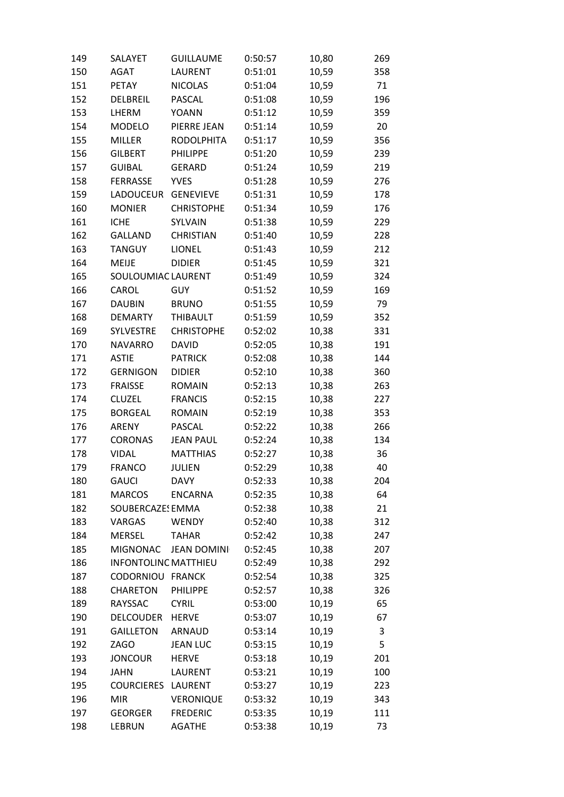| 149 | SALAYET                     | <b>GUILLAUME</b>   | 0:50:57 | 10,80 | 269 |
|-----|-----------------------------|--------------------|---------|-------|-----|
| 150 | <b>AGAT</b>                 | LAURENT            | 0:51:01 | 10,59 | 358 |
| 151 | <b>PETAY</b>                | <b>NICOLAS</b>     | 0:51:04 | 10,59 | 71  |
| 152 | DELBREIL                    | PASCAL             | 0:51:08 | 10,59 | 196 |
| 153 | LHERM                       | <b>YOANN</b>       | 0:51:12 | 10,59 | 359 |
| 154 | <b>MODELO</b>               | PIERRE JEAN        | 0:51:14 | 10,59 | 20  |
| 155 | <b>MILLER</b>               | <b>RODOLPHITA</b>  | 0:51:17 | 10,59 | 356 |
| 156 | <b>GILBERT</b>              | PHILIPPE           | 0:51:20 | 10,59 | 239 |
| 157 | <b>GUIBAL</b>               | <b>GERARD</b>      | 0:51:24 | 10,59 | 219 |
| 158 | <b>FERRASSE</b>             | <b>YVES</b>        | 0:51:28 | 10,59 | 276 |
| 159 | LADOUCEUR GENEVIEVE         |                    | 0:51:31 | 10,59 | 178 |
| 160 | <b>MONIER</b>               | <b>CHRISTOPHE</b>  | 0:51:34 | 10,59 | 176 |
| 161 | <b>ICHE</b>                 | SYLVAIN            | 0:51:38 | 10,59 | 229 |
| 162 | <b>GALLAND</b>              | <b>CHRISTIAN</b>   | 0:51:40 | 10,59 | 228 |
| 163 | <b>TANGUY</b>               | LIONEL             | 0:51:43 | 10,59 | 212 |
| 164 | <b>MEIJE</b>                | <b>DIDIER</b>      | 0:51:45 | 10,59 | 321 |
| 165 | SOULOUMIAC LAURENT          |                    | 0:51:49 | 10,59 | 324 |
| 166 | CAROL                       | <b>GUY</b>         | 0:51:52 | 10,59 | 169 |
| 167 | <b>DAUBIN</b>               | <b>BRUNO</b>       | 0:51:55 | 10,59 | 79  |
| 168 | <b>DEMARTY</b>              | THIBAULT           | 0:51:59 | 10,59 | 352 |
| 169 | <b>SYLVESTRE</b>            | <b>CHRISTOPHE</b>  | 0:52:02 | 10,38 | 331 |
| 170 | <b>NAVARRO</b>              | <b>DAVID</b>       | 0:52:05 | 10,38 | 191 |
| 171 | <b>ASTIE</b>                | <b>PATRICK</b>     | 0:52:08 | 10,38 | 144 |
| 172 | <b>GERNIGON</b>             | <b>DIDIER</b>      | 0:52:10 | 10,38 | 360 |
| 173 | <b>FRAISSE</b>              | <b>ROMAIN</b>      | 0:52:13 | 10,38 | 263 |
| 174 | <b>CLUZEL</b>               | <b>FRANCIS</b>     | 0:52:15 | 10,38 | 227 |
| 175 | <b>BORGEAL</b>              | <b>ROMAIN</b>      | 0:52:19 | 10,38 | 353 |
| 176 | ARENY                       | PASCAL             | 0:52:22 | 10,38 | 266 |
| 177 | <b>CORONAS</b>              | <b>JEAN PAUL</b>   | 0:52:24 | 10,38 | 134 |
| 178 | <b>VIDAL</b>                | <b>MATTHIAS</b>    | 0:52:27 | 10,38 | 36  |
| 179 | <b>FRANCO</b>               | <b>JULIEN</b>      | 0:52:29 | 10,38 | 40  |
| 180 | <b>GAUCI</b>                | <b>DAVY</b>        | 0:52:33 | 10,38 | 204 |
| 181 | <b>MARCOS</b>               | <b>ENCARNA</b>     | 0:52:35 | 10,38 | 64  |
| 182 | SOUBERCAZES EMMA            |                    | 0:52:38 | 10,38 | 21  |
| 183 | VARGAS                      | <b>WENDY</b>       | 0:52:40 | 10,38 | 312 |
| 184 | <b>MERSEL</b>               | <b>TAHAR</b>       | 0:52:42 | 10,38 | 247 |
| 185 | <b>MIGNONAC</b>             | <b>JEAN DOMINI</b> | 0:52:45 | 10,38 | 207 |
| 186 | <b>INFONTOLINC MATTHIEU</b> |                    | 0:52:49 | 10,38 | 292 |
| 187 | CODORNIOU FRANCK            |                    | 0:52:54 | 10,38 |     |
| 188 | <b>CHARETON</b>             | PHILIPPE           | 0:52:57 |       | 325 |
|     | RAYSSAC                     | <b>CYRIL</b>       |         | 10,38 | 326 |
| 189 | <b>DELCOUDER</b>            | <b>HERVE</b>       | 0:53:00 | 10,19 | 65  |
| 190 |                             |                    | 0:53:07 | 10,19 | 67  |
| 191 | <b>GAILLETON</b>            | ARNAUD             | 0:53:14 | 10,19 | 3   |
| 192 | ZAGO                        | <b>JEAN LUC</b>    | 0:53:15 | 10,19 | 5   |
| 193 | <b>JONCOUR</b>              | <b>HERVE</b>       | 0:53:18 | 10,19 | 201 |
| 194 | <b>JAHN</b>                 | LAURENT            | 0:53:21 | 10,19 | 100 |
| 195 | <b>COURCIERES</b>           | <b>LAURENT</b>     | 0:53:27 | 10,19 | 223 |
| 196 | <b>MIR</b>                  | <b>VERONIQUE</b>   | 0:53:32 | 10,19 | 343 |
| 197 | <b>GEORGER</b>              | <b>FREDERIC</b>    | 0:53:35 | 10,19 | 111 |
| 198 | LEBRUN                      | <b>AGATHE</b>      | 0:53:38 | 10,19 | 73  |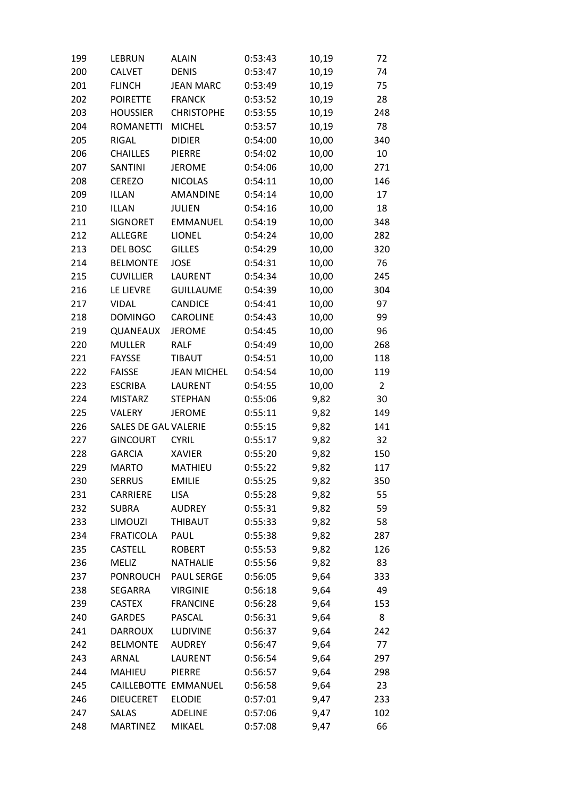| 199 | LEBRUN               | <b>ALAIN</b>       | 0:53:43 | 10,19 | 72             |
|-----|----------------------|--------------------|---------|-------|----------------|
| 200 | <b>CALVET</b>        | <b>DENIS</b>       | 0:53:47 | 10,19 | 74             |
| 201 | <b>FLINCH</b>        | <b>JEAN MARC</b>   | 0:53:49 | 10,19 | 75             |
| 202 | <b>POIRETTE</b>      | <b>FRANCK</b>      | 0:53:52 | 10,19 | 28             |
| 203 | <b>HOUSSIER</b>      | <b>CHRISTOPHE</b>  | 0:53:55 | 10,19 | 248            |
| 204 | <b>ROMANETTI</b>     | <b>MICHEL</b>      | 0:53:57 | 10,19 | 78             |
| 205 | RIGAL                | <b>DIDIER</b>      | 0:54:00 | 10,00 | 340            |
| 206 | <b>CHAILLES</b>      | <b>PIERRE</b>      | 0:54:02 | 10,00 | 10             |
| 207 | <b>SANTINI</b>       | <b>JEROME</b>      | 0:54:06 | 10,00 | 271            |
| 208 | <b>CEREZO</b>        | <b>NICOLAS</b>     | 0:54:11 | 10,00 | 146            |
| 209 | <b>ILLAN</b>         | AMANDINE           | 0:54:14 | 10,00 | 17             |
| 210 | <b>ILLAN</b>         | <b>JULIEN</b>      | 0:54:16 | 10,00 | 18             |
| 211 | <b>SIGNORET</b>      | <b>EMMANUEL</b>    | 0:54:19 | 10,00 | 348            |
| 212 | <b>ALLEGRE</b>       | <b>LIONEL</b>      | 0:54:24 | 10,00 | 282            |
| 213 | <b>DEL BOSC</b>      | <b>GILLES</b>      | 0:54:29 | 10,00 | 320            |
| 214 | <b>BELMONTE</b>      | <b>JOSE</b>        | 0:54:31 | 10,00 | 76             |
| 215 | <b>CUVILLIER</b>     | LAURENT            | 0:54:34 | 10,00 | 245            |
| 216 | LE LIEVRE            | <b>GUILLAUME</b>   | 0:54:39 | 10,00 | 304            |
| 217 | <b>VIDAL</b>         | <b>CANDICE</b>     | 0:54:41 | 10,00 | 97             |
| 218 | <b>DOMINGO</b>       | <b>CAROLINE</b>    | 0:54:43 | 10,00 | 99             |
| 219 | QUANEAUX             | <b>JEROME</b>      | 0:54:45 | 10,00 | 96             |
| 220 | <b>MULLER</b>        | <b>RALF</b>        | 0:54:49 | 10,00 | 268            |
| 221 | <b>FAYSSE</b>        | <b>TIBAUT</b>      | 0:54:51 | 10,00 | 118            |
| 222 | <b>FAISSE</b>        | <b>JEAN MICHEL</b> | 0:54:54 | 10,00 | 119            |
| 223 | <b>ESCRIBA</b>       | LAURENT            | 0:54:55 | 10,00 | $\overline{2}$ |
| 224 | <b>MISTARZ</b>       | <b>STEPHAN</b>     | 0:55:06 | 9,82  | 30             |
| 225 | VALERY               | <b>JEROME</b>      | 0:55:11 | 9,82  | 149            |
| 226 | SALES DE GAU VALERIE |                    | 0:55:15 | 9,82  | 141            |
| 227 | <b>GINCOURT</b>      | <b>CYRIL</b>       | 0:55:17 | 9,82  | 32             |
| 228 | <b>GARCIA</b>        | <b>XAVIER</b>      | 0:55:20 | 9,82  | 150            |
| 229 | <b>MARTO</b>         | <b>MATHIEU</b>     | 0:55:22 | 9,82  | 117            |
| 230 | <b>SERRUS</b>        | <b>EMILIE</b>      | 0:55:25 | 9,82  | 350            |
| 231 | CARRIERE             | <b>LISA</b>        | 0:55:28 | 9,82  | 55             |
| 232 | <b>SUBRA</b>         | <b>AUDREY</b>      | 0:55:31 | 9,82  | 59             |
| 233 | LIMOUZI              | THIBAUT            | 0:55:33 | 9,82  | 58             |
| 234 | <b>FRATICOLA</b>     | PAUL               | 0:55:38 | 9,82  | 287            |
| 235 | <b>CASTELL</b>       | <b>ROBERT</b>      | 0:55:53 | 9,82  | 126            |
| 236 | <b>MELIZ</b>         | <b>NATHALIE</b>    | 0:55:56 | 9,82  | 83             |
| 237 | <b>PONROUCH</b>      | <b>PAUL SERGE</b>  | 0:56:05 | 9,64  | 333            |
| 238 | <b>SEGARRA</b>       | <b>VIRGINIE</b>    | 0:56:18 | 9,64  | 49             |
| 239 | <b>CASTEX</b>        | <b>FRANCINE</b>    | 0:56:28 | 9,64  | 153            |
| 240 | <b>GARDES</b>        | PASCAL             | 0:56:31 | 9,64  | 8              |
| 241 | <b>DARROUX</b>       | <b>LUDIVINE</b>    | 0:56:37 | 9,64  | 242            |
| 242 | <b>BELMONTE</b>      | <b>AUDREY</b>      | 0:56:47 | 9,64  | 77             |
| 243 | ARNAL                | LAURENT            | 0:56:54 | 9,64  | 297            |
| 244 | <b>MAHIEU</b>        | <b>PIERRE</b>      | 0:56:57 | 9,64  | 298            |
| 245 | CAILLEBOTTE EMMANUEL |                    | 0:56:58 | 9,64  | 23             |
| 246 | <b>DIEUCERET</b>     | <b>ELODIE</b>      | 0:57:01 | 9,47  | 233            |
| 247 | SALAS                | <b>ADELINE</b>     | 0:57:06 | 9,47  | 102            |
| 248 | <b>MARTINEZ</b>      | MIKAEL             | 0:57:08 | 9,47  | 66             |
|     |                      |                    |         |       |                |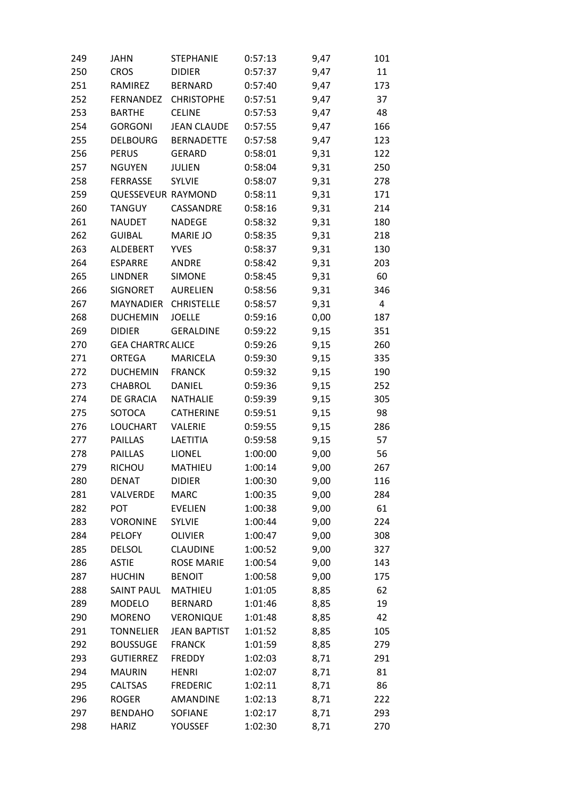| 249 | <b>JAHN</b>               | <b>STEPHANIE</b>    | 0:57:13 | 9,47 | 101 |
|-----|---------------------------|---------------------|---------|------|-----|
| 250 | <b>CROS</b>               | <b>DIDIER</b>       | 0:57:37 | 9,47 | 11  |
| 251 | RAMIREZ                   | <b>BERNARD</b>      | 0:57:40 | 9,47 | 173 |
| 252 | <b>FERNANDEZ</b>          | <b>CHRISTOPHE</b>   | 0:57:51 | 9,47 | 37  |
| 253 | <b>BARTHE</b>             | <b>CELINE</b>       | 0:57:53 | 9,47 | 48  |
| 254 | <b>GORGONI</b>            | <b>JEAN CLAUDE</b>  | 0:57:55 | 9,47 | 166 |
| 255 | <b>DELBOURG</b>           | <b>BERNADETTE</b>   | 0:57:58 | 9,47 | 123 |
| 256 | <b>PERUS</b>              | <b>GERARD</b>       | 0:58:01 | 9,31 | 122 |
| 257 | <b>NGUYEN</b>             | <b>JULIEN</b>       | 0:58:04 | 9,31 | 250 |
| 258 | <b>FERRASSE</b>           | <b>SYLVIE</b>       | 0:58:07 | 9,31 | 278 |
| 259 | <b>QUESSEVEUR RAYMOND</b> |                     | 0:58:11 | 9,31 | 171 |
| 260 | <b>TANGUY</b>             | CASSANDRE           | 0:58:16 | 9,31 | 214 |
| 261 | <b>NAUDET</b>             | <b>NADEGE</b>       | 0:58:32 | 9,31 | 180 |
| 262 | <b>GUIBAL</b>             | <b>MARIE JO</b>     | 0:58:35 | 9,31 | 218 |
| 263 | ALDEBERT                  | <b>YVES</b>         | 0:58:37 | 9,31 | 130 |
| 264 | <b>ESPARRE</b>            | <b>ANDRE</b>        | 0:58:42 | 9,31 | 203 |
| 265 | <b>LINDNER</b>            | <b>SIMONE</b>       | 0:58:45 | 9,31 | 60  |
| 266 | <b>SIGNORET</b>           | <b>AURELIEN</b>     | 0:58:56 | 9,31 | 346 |
| 267 | <b>MAYNADIER</b>          | <b>CHRISTELLE</b>   | 0:58:57 | 9,31 | 4   |
| 268 | <b>DUCHEMIN</b>           | <b>JOELLE</b>       | 0:59:16 | 0,00 | 187 |
| 269 | <b>DIDIER</b>             | <b>GERALDINE</b>    | 0:59:22 | 9,15 | 351 |
| 270 | <b>GEA CHARTRC ALICE</b>  |                     | 0:59:26 | 9,15 | 260 |
| 271 | <b>ORTEGA</b>             | <b>MARICELA</b>     | 0:59:30 | 9,15 | 335 |
| 272 | <b>DUCHEMIN</b>           | <b>FRANCK</b>       | 0:59:32 | 9,15 | 190 |
| 273 | <b>CHABROL</b>            | <b>DANIEL</b>       | 0:59:36 | 9,15 | 252 |
| 274 | <b>DE GRACIA</b>          | <b>NATHALIE</b>     | 0:59:39 | 9,15 | 305 |
| 275 | SOTOCA                    | <b>CATHERINE</b>    | 0:59:51 | 9,15 | 98  |
| 276 | <b>LOUCHART</b>           | VALERIE             | 0:59:55 | 9,15 | 286 |
| 277 | <b>PAILLAS</b>            | LAETITIA            | 0:59:58 | 9,15 | 57  |
| 278 | <b>PAILLAS</b>            | LIONEL              | 1:00:00 | 9,00 | 56  |
| 279 | <b>RICHOU</b>             | MATHIEU             | 1:00:14 | 9,00 | 267 |
| 280 | <b>DENAT</b>              | <b>DIDIER</b>       | 1:00:30 | 9,00 | 116 |
| 281 | VALVERDE                  | <b>MARC</b>         | 1:00:35 | 9,00 | 284 |
| 282 | <b>POT</b>                | <b>EVELIEN</b>      | 1:00:38 | 9,00 | 61  |
| 283 | <b>VORONINE</b>           | <b>SYLVIE</b>       | 1:00:44 | 9,00 | 224 |
| 284 | <b>PELOFY</b>             | <b>OLIVIER</b>      | 1:00:47 | 9,00 | 308 |
| 285 | <b>DELSOL</b>             | <b>CLAUDINE</b>     | 1:00:52 | 9,00 | 327 |
| 286 | <b>ASTIE</b>              | <b>ROSE MARIE</b>   | 1:00:54 | 9,00 | 143 |
| 287 | <b>HUCHIN</b>             | <b>BENOIT</b>       | 1:00:58 | 9,00 | 175 |
| 288 | <b>SAINT PAUL</b>         | MATHIEU             | 1:01:05 | 8,85 | 62  |
| 289 | <b>MODELO</b>             | <b>BERNARD</b>      | 1:01:46 | 8,85 | 19  |
| 290 | <b>MORENO</b>             | <b>VERONIQUE</b>    | 1:01:48 | 8,85 | 42  |
| 291 | <b>TONNELIER</b>          | <b>JEAN BAPTIST</b> | 1:01:52 | 8,85 | 105 |
| 292 | <b>BOUSSUGE</b>           | <b>FRANCK</b>       | 1:01:59 | 8,85 | 279 |
| 293 | <b>GUTIERREZ</b>          | <b>FREDDY</b>       | 1:02:03 | 8,71 | 291 |
| 294 | <b>MAURIN</b>             | <b>HENRI</b>        | 1:02:07 | 8,71 | 81  |
| 295 | <b>CALTSAS</b>            | <b>FREDERIC</b>     | 1:02:11 | 8,71 | 86  |
| 296 | <b>ROGER</b>              | AMANDINE            | 1:02:13 | 8,71 | 222 |
| 297 | <b>BENDAHO</b>            | SOFIANE             | 1:02:17 | 8,71 | 293 |
| 298 | <b>HARIZ</b>              | YOUSSEF             | 1:02:30 | 8,71 | 270 |
|     |                           |                     |         |      |     |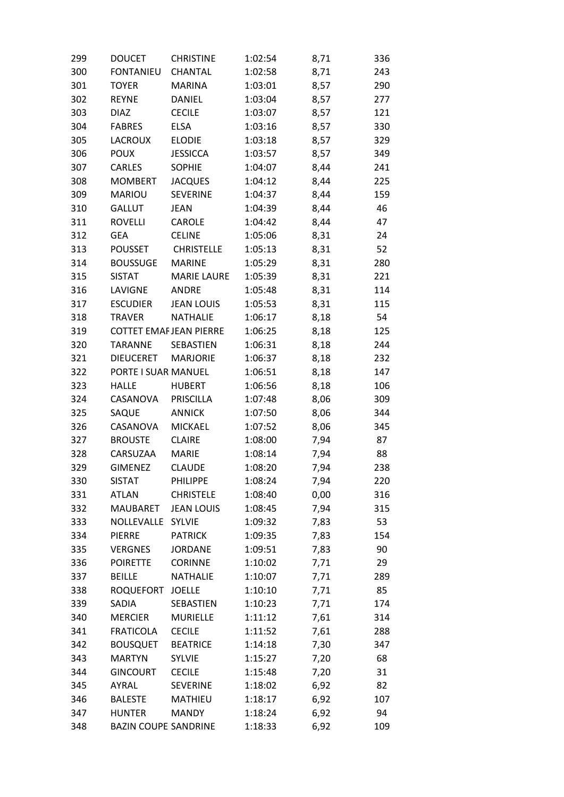| 299 | <b>DOUCET</b>                 | <b>CHRISTINE</b>   | 1:02:54 | 8,71 | 336 |
|-----|-------------------------------|--------------------|---------|------|-----|
| 300 | <b>FONTANIEU</b>              | CHANTAL            | 1:02:58 | 8,71 | 243 |
| 301 | <b>TOYER</b>                  | <b>MARINA</b>      | 1:03:01 | 8,57 | 290 |
| 302 | <b>REYNE</b>                  | DANIEL             | 1:03:04 | 8,57 | 277 |
| 303 | <b>DIAZ</b>                   | <b>CECILE</b>      | 1:03:07 | 8,57 | 121 |
| 304 | <b>FABRES</b>                 | <b>ELSA</b>        | 1:03:16 | 8,57 | 330 |
| 305 | <b>LACROUX</b>                | <b>ELODIE</b>      | 1:03:18 | 8,57 | 329 |
| 306 | <b>POUX</b>                   | <b>JESSICCA</b>    | 1:03:57 | 8,57 | 349 |
| 307 | CARLES                        | <b>SOPHIE</b>      | 1:04:07 | 8,44 | 241 |
| 308 | <b>MOMBERT</b>                | <b>JACQUES</b>     | 1:04:12 | 8,44 | 225 |
| 309 | <b>MARIOU</b>                 | <b>SEVERINE</b>    | 1:04:37 | 8,44 | 159 |
| 310 | <b>GALLUT</b>                 | <b>JEAN</b>        | 1:04:39 | 8,44 | 46  |
| 311 | <b>ROVELLI</b>                | CAROLE             | 1:04:42 | 8,44 | 47  |
| 312 | GEA                           | <b>CELINE</b>      | 1:05:06 | 8,31 | 24  |
| 313 | <b>POUSSET</b>                | <b>CHRISTELLE</b>  | 1:05:13 | 8,31 | 52  |
| 314 | <b>BOUSSUGE</b>               | <b>MARINE</b>      | 1:05:29 | 8,31 | 280 |
| 315 | <b>SISTAT</b>                 | <b>MARIE LAURE</b> | 1:05:39 | 8,31 | 221 |
| 316 | LAVIGNE                       | ANDRE              | 1:05:48 | 8,31 | 114 |
| 317 | <b>ESCUDIER</b>               | <b>JEAN LOUIS</b>  | 1:05:53 | 8,31 | 115 |
| 318 | <b>TRAVER</b>                 | <b>NATHALIE</b>    | 1:06:17 | 8,18 | 54  |
| 319 | <b>COTTET EMAFJEAN PIERRE</b> |                    | 1:06:25 | 8,18 | 125 |
| 320 | <b>TARANNE</b>                | SEBASTIEN          | 1:06:31 | 8,18 | 244 |
| 321 | <b>DIEUCERET</b>              | <b>MARJORIE</b>    | 1:06:37 | 8,18 | 232 |
| 322 | PORTE I SUAR MANUEL           |                    | 1:06:51 | 8,18 | 147 |
| 323 | <b>HALLE</b>                  | <b>HUBERT</b>      | 1:06:56 | 8,18 | 106 |
| 324 | CASANOVA                      | PRISCILLA          | 1:07:48 | 8,06 | 309 |
| 325 | SAQUE                         | <b>ANNICK</b>      | 1:07:50 | 8,06 | 344 |
| 326 | CASANOVA                      | <b>MICKAEL</b>     | 1:07:52 | 8,06 | 345 |
| 327 | <b>BROUSTE</b>                | <b>CLAIRE</b>      | 1:08:00 | 7,94 | 87  |
| 328 | CARSUZAA                      | <b>MARIE</b>       | 1:08:14 | 7,94 | 88  |
| 329 | <b>GIMENEZ</b>                | <b>CLAUDE</b>      | 1:08:20 | 7,94 | 238 |
| 330 | <b>SISTAT</b>                 | PHILIPPE           | 1:08:24 | 7,94 | 220 |
| 331 | <b>ATLAN</b>                  | <b>CHRISTELE</b>   | 1:08:40 | 0,00 | 316 |
| 332 | <b>MAUBARET</b>               | <b>JEAN LOUIS</b>  | 1:08:45 | 7,94 | 315 |
| 333 | NOLLEVALLE SYLVIE             |                    | 1:09:32 | 7,83 | 53  |
| 334 | <b>PIERRE</b>                 | <b>PATRICK</b>     | 1:09:35 | 7,83 | 154 |
| 335 | <b>VERGNES</b>                | <b>JORDANE</b>     | 1:09:51 | 7,83 | 90  |
| 336 | <b>POIRETTE</b>               | <b>CORINNE</b>     | 1:10:02 | 7,71 | 29  |
| 337 | <b>BEILLE</b>                 | <b>NATHALIE</b>    | 1:10:07 | 7,71 | 289 |
|     |                               |                    |         |      | 85  |
| 338 | ROQUEFORT                     | <b>JOELLE</b>      | 1:10:10 | 7,71 |     |
| 339 | SADIA                         | SEBASTIEN          | 1:10:23 | 7,71 | 174 |
| 340 | <b>MERCIER</b>                | <b>MURIELLE</b>    | 1:11:12 | 7,61 | 314 |
| 341 | <b>FRATICOLA</b>              | <b>CECILE</b>      | 1:11:52 | 7,61 | 288 |
| 342 | <b>BOUSQUET</b>               | <b>BEATRICE</b>    | 1:14:18 | 7,30 | 347 |
| 343 | <b>MARTYN</b>                 | <b>SYLVIE</b>      | 1:15:27 | 7,20 | 68  |
| 344 | <b>GINCOURT</b>               | <b>CECILE</b>      | 1:15:48 | 7,20 | 31  |
| 345 | AYRAL                         | <b>SEVERINE</b>    | 1:18:02 | 6,92 | 82  |
| 346 | <b>BALESTE</b>                | <b>MATHIEU</b>     | 1:18:17 | 6,92 | 107 |
| 347 | <b>HUNTER</b>                 | <b>MANDY</b>       | 1:18:24 | 6,92 | 94  |
| 348 | <b>BAZIN COUPE SANDRINE</b>   |                    | 1:18:33 | 6,92 | 109 |